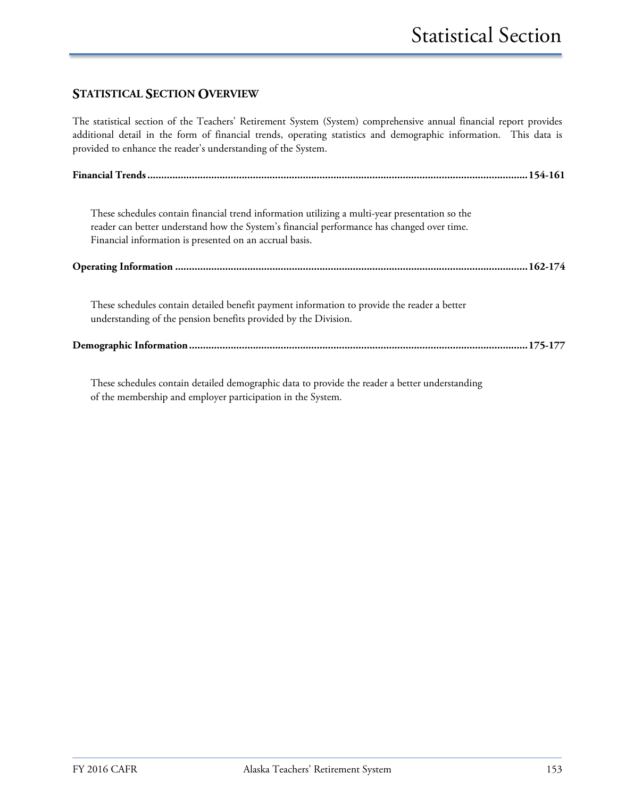#### **STATISTICAL SECTION OVERVIEW**

The statistical section of the Teachers' Retirement System (System) comprehensive annual financial report provides additional detail in the form of financial trends, operating statistics and demographic information. This data is provided to enhance the reader's understanding of the System.

| These schedules contain financial trend information utilizing a multi-year presentation so the<br>reader can better understand how the System's financial performance has changed over time.<br>Financial information is presented on an accrual basis. |
|---------------------------------------------------------------------------------------------------------------------------------------------------------------------------------------------------------------------------------------------------------|
|                                                                                                                                                                                                                                                         |
| These schedules contain detailed benefit payment information to provide the reader a better<br>understanding of the pension benefits provided by the Division.                                                                                          |
|                                                                                                                                                                                                                                                         |

These schedules contain detailed demographic data to provide the reader a better understanding of the membership and employer participation in the System.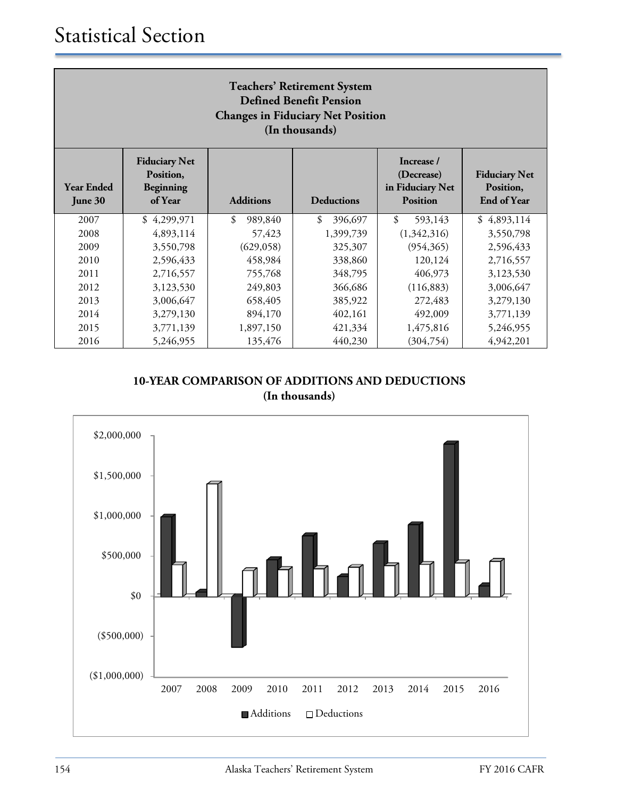| <b>Teachers' Retirement System</b><br><b>Defined Benefit Pension</b><br><b>Changes in Fiduciary Net Position</b><br>(In thousands)                                                                                                                                      |                                                         |               |               |               |             |  |
|-------------------------------------------------------------------------------------------------------------------------------------------------------------------------------------------------------------------------------------------------------------------------|---------------------------------------------------------|---------------|---------------|---------------|-------------|--|
| <b>Fiduciary Net</b><br>Increase /<br>(Decrease)<br><b>Fiduciary Net</b><br>Position,<br><b>Year Ended</b><br>in Fiduciary Net<br>Position,<br><b>Beginning</b><br>of Year<br><b>Additions</b><br><b>Deductions</b><br><b>End of Year</b><br>June 30<br><b>Position</b> |                                                         |               |               |               |             |  |
| 2007                                                                                                                                                                                                                                                                    | \$4,299,971                                             | \$<br>989,840 | \$<br>396,697 | \$<br>593,143 | \$4,893,114 |  |
| 2008                                                                                                                                                                                                                                                                    | 4,893,114                                               | 57,423        | 1,399,739     | (1,342,316)   | 3,550,798   |  |
| 2009                                                                                                                                                                                                                                                                    | 3,550,798                                               | (629, 058)    | 325,307       | (954, 365)    | 2,596,433   |  |
| 2010                                                                                                                                                                                                                                                                    | 2,596,433                                               | 458,984       | 338,860       | 120,124       | 2,716,557   |  |
| 2011                                                                                                                                                                                                                                                                    | 2,716,557                                               | 755,768       | 348,795       | 406,973       | 3,123,530   |  |
| 2012                                                                                                                                                                                                                                                                    | 3,123,530                                               | 249,803       | 366,686       | (116, 883)    | 3,006,647   |  |
| 2013                                                                                                                                                                                                                                                                    | 3,006,647                                               | 658,405       | 385,922       | 272,483       | 3,279,130   |  |
| 2014                                                                                                                                                                                                                                                                    | 3,279,130<br>894,170<br>402,161<br>492,009<br>3,771,139 |               |               |               |             |  |
| 2015                                                                                                                                                                                                                                                                    | 3,771,139                                               | 1,897,150     | 421,334       | 1,475,816     | 5,246,955   |  |
| 2016                                                                                                                                                                                                                                                                    | 5,246,955                                               | 135,476       | 440,230       | (304, 754)    | 4,942,201   |  |

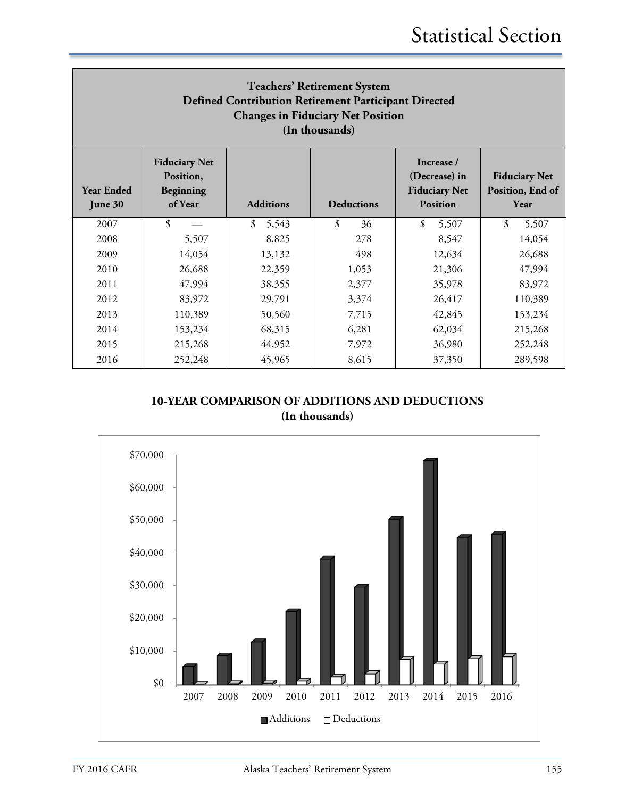| <b>Teachers' Retirement System</b><br><b>Defined Contribution Retirement Participant Directed</b><br><b>Changes in Fiduciary Net Position</b><br>(In thousands) |                                                           |                  |                   |                                                                        |                                                  |  |  |
|-----------------------------------------------------------------------------------------------------------------------------------------------------------------|-----------------------------------------------------------|------------------|-------------------|------------------------------------------------------------------------|--------------------------------------------------|--|--|
| <b>Year Ended</b><br>June 30                                                                                                                                    | <b>Fiduciary Net</b><br>Position,<br>Beginning<br>of Year | <b>Additions</b> | <b>Deductions</b> | Increase /<br>(Decrease) in<br><b>Fiduciary Net</b><br><b>Position</b> | <b>Fiduciary Net</b><br>Position, End of<br>Year |  |  |
| 2007                                                                                                                                                            | $\mathcal{S}$                                             | \$<br>5,543      | \$<br>36          | $\mathcal{S}$<br>5,507                                                 | \$<br>5,507                                      |  |  |
| 2008                                                                                                                                                            | 5,507                                                     | 8,825            | 278               | 8,547                                                                  | 14,054                                           |  |  |
| 2009                                                                                                                                                            | 14,054                                                    | 13,132           | 498               | 12,634                                                                 | 26,688                                           |  |  |
| 2010                                                                                                                                                            | 26,688                                                    | 22,359           | 1,053             | 21,306                                                                 | 47,994                                           |  |  |
| 2011                                                                                                                                                            | 47,994                                                    | 38,355           | 2,377             | 35,978                                                                 | 83,972                                           |  |  |
| 2012                                                                                                                                                            | 83,972                                                    | 29,791           | 3,374             | 26,417                                                                 | 110,389                                          |  |  |
| 2013                                                                                                                                                            | 110,389                                                   | 50,560           | 7,715             | 42,845                                                                 | 153,234                                          |  |  |
| 2014                                                                                                                                                            | 153,234                                                   | 68,315           | 6,281             | 62,034                                                                 | 215,268                                          |  |  |
| 2015                                                                                                                                                            | 215,268                                                   | 44,952           | 7,972             | 36,980                                                                 | 252,248                                          |  |  |
| 2016                                                                                                                                                            | 252,248                                                   | 45,965           | 8,615             | 37,350                                                                 | 289,598                                          |  |  |

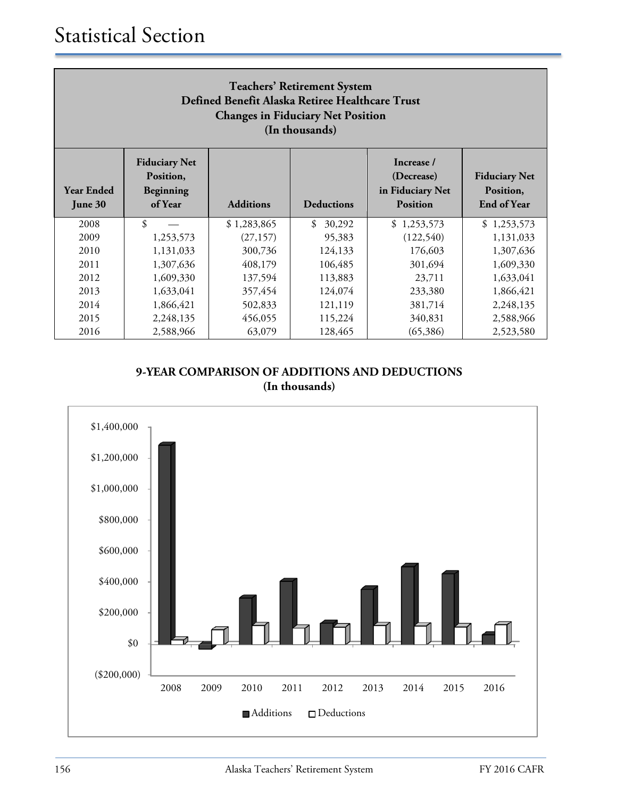| <b>Teachers' Retirement System</b><br>Defined Benefit Alaska Retiree Healthcare Trust<br><b>Changes in Fiduciary Net Position</b><br>(In thousands) |                                                         |             |              |             |             |  |  |
|-----------------------------------------------------------------------------------------------------------------------------------------------------|---------------------------------------------------------|-------------|--------------|-------------|-------------|--|--|
| <b>Year Ended</b><br>June 30                                                                                                                        | <b>Fiduciary Net</b><br>Position,<br><b>End of Year</b> |             |              |             |             |  |  |
| 2008                                                                                                                                                | \$                                                      | \$1,283,865 | \$<br>30,292 | \$1,253,573 | \$1,253,573 |  |  |
| 2009                                                                                                                                                | 1,253,573                                               | (27, 157)   | 95,383       | (122,540)   | 1,131,033   |  |  |
| 2010                                                                                                                                                | 1,131,033                                               | 300,736     | 124,133      | 176,603     | 1,307,636   |  |  |
| 2011                                                                                                                                                | 1,307,636                                               | 408,179     | 106,485      | 301,694     | 1,609,330   |  |  |
| 2012                                                                                                                                                | 1,609,330                                               | 137,594     | 113,883      | 23,711      | 1,633,041   |  |  |
| 2013                                                                                                                                                | 1,633,041                                               | 357,454     | 124,074      | 233,380     | 1,866,421   |  |  |
| 2014                                                                                                                                                | 1,866,421<br>502,833<br>121,119<br>381,714<br>2,248,135 |             |              |             |             |  |  |
| 2015                                                                                                                                                | 2,248,135                                               | 456,055     | 115,224      | 340,831     | 2,588,966   |  |  |
| 2016                                                                                                                                                | 2,588,966                                               | 63,079      | 128,465      | (65,386)    | 2,523,580   |  |  |

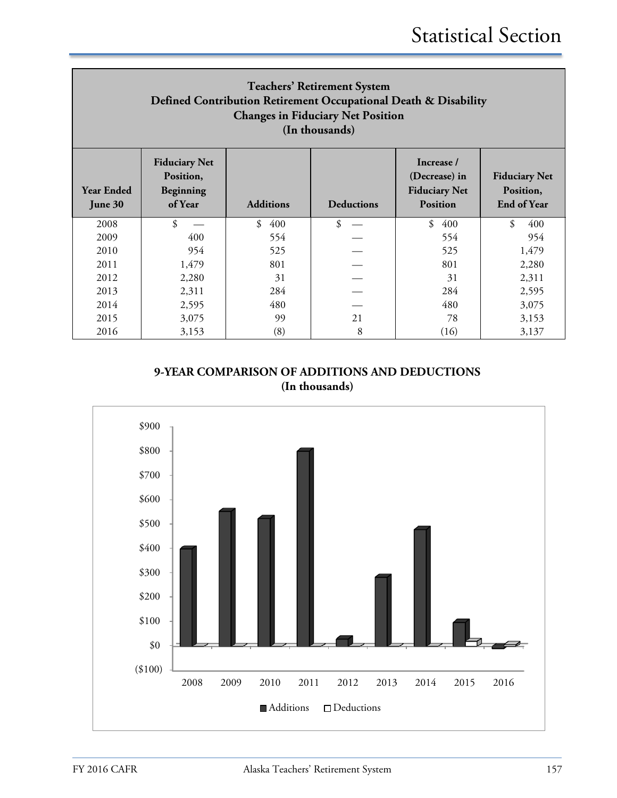| <b>Teachers' Retirement System</b><br>Defined Contribution Retirement Occupational Death & Disability<br><b>Changes in Fiduciary Net Position</b><br>(In thousands) |                                                                                                                                                                                                                                         |                     |    |           |           |  |  |  |
|---------------------------------------------------------------------------------------------------------------------------------------------------------------------|-----------------------------------------------------------------------------------------------------------------------------------------------------------------------------------------------------------------------------------------|---------------------|----|-----------|-----------|--|--|--|
| <b>Year Ended</b><br>June 30                                                                                                                                        | <b>Fiduciary Net</b><br>Increase /<br>(Decrease) in<br>Position,<br><b>Fiduciary Net</b><br><b>Fiduciary Net</b><br>Position,<br>Beginning<br><b>Additions</b><br>of Year<br><b>Deductions</b><br><b>Position</b><br><b>End of Year</b> |                     |    |           |           |  |  |  |
| 2008                                                                                                                                                                | \$                                                                                                                                                                                                                                      | \$<br>400           | \$ | \$<br>400 | \$<br>400 |  |  |  |
| 2009                                                                                                                                                                | 400                                                                                                                                                                                                                                     | 554                 |    | 554       | 954       |  |  |  |
| 2010                                                                                                                                                                | 954                                                                                                                                                                                                                                     | 525                 |    | 525       | 1,479     |  |  |  |
| 2011                                                                                                                                                                | 1,479                                                                                                                                                                                                                                   | 801                 |    | 801       | 2,280     |  |  |  |
| 2012                                                                                                                                                                | 2,280                                                                                                                                                                                                                                   | 31                  |    | 31        | 2,311     |  |  |  |
| 2013                                                                                                                                                                | 2,311                                                                                                                                                                                                                                   | 284                 |    | 284       | 2,595     |  |  |  |
| 2014                                                                                                                                                                | 2,595                                                                                                                                                                                                                                   | 480<br>480<br>3,075 |    |           |           |  |  |  |
| 2015                                                                                                                                                                | 3,075                                                                                                                                                                                                                                   | 99                  | 21 | 78        | 3,153     |  |  |  |
| 2016                                                                                                                                                                | 3,153                                                                                                                                                                                                                                   | (8)                 | 8  | (16)      | 3,137     |  |  |  |

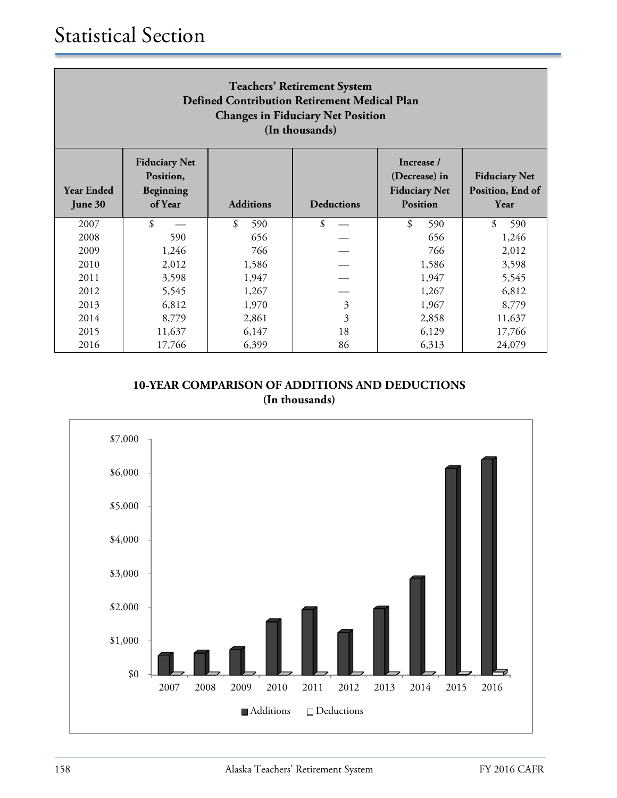| <b>Teachers' Retirement System</b><br><b>Defined Contribution Retirement Medical Plan</b><br><b>Changes in Fiduciary Net Position</b><br>(In thousands) |                                                              |                  |                            |                                                                        |                                                  |  |  |
|---------------------------------------------------------------------------------------------------------------------------------------------------------|--------------------------------------------------------------|------------------|----------------------------|------------------------------------------------------------------------|--------------------------------------------------|--|--|
| <b>Year Ended</b><br>June 30                                                                                                                            | <b>Fiduciary Net</b><br>Position,<br>Beginning<br>of Year    | <b>Additions</b> | <b>Deductions</b>          | Increase /<br>(Decrease) in<br><b>Fiduciary Net</b><br><b>Position</b> | <b>Fiduciary Net</b><br>Position, End of<br>Year |  |  |
| 2007                                                                                                                                                    | \$                                                           | \$<br>590        | $\boldsymbol{\mathcal{S}}$ | \$<br>590                                                              | \$<br>590                                        |  |  |
| 2008                                                                                                                                                    | 590                                                          | 656              |                            | 656                                                                    | 1,246                                            |  |  |
| 2009                                                                                                                                                    | 1,246                                                        | 766              |                            | 766                                                                    | 2,012                                            |  |  |
| 2010                                                                                                                                                    | 2,012                                                        | 1,586            |                            | 1,586                                                                  | 3,598                                            |  |  |
| 2011                                                                                                                                                    | 3,598                                                        | 1,947            |                            | 1,947                                                                  | 5,545                                            |  |  |
| 2012                                                                                                                                                    | 5,545                                                        | 1,267            |                            | 1,267                                                                  | 6,812                                            |  |  |
| 2013                                                                                                                                                    | 6,812                                                        | 1,970            | $\mathfrak{Z}$             | 1,967                                                                  | 8,779                                            |  |  |
| 2014                                                                                                                                                    | $\overline{\mathbf{3}}$<br>2,861<br>8,779<br>2,858<br>11,637 |                  |                            |                                                                        |                                                  |  |  |
| 2015                                                                                                                                                    | 11,637                                                       | 6,147            | 18                         | 6,129                                                                  | 17,766                                           |  |  |
| 2016                                                                                                                                                    | 17,766                                                       | 6,399            | 86                         | 6,313                                                                  | 24,079                                           |  |  |

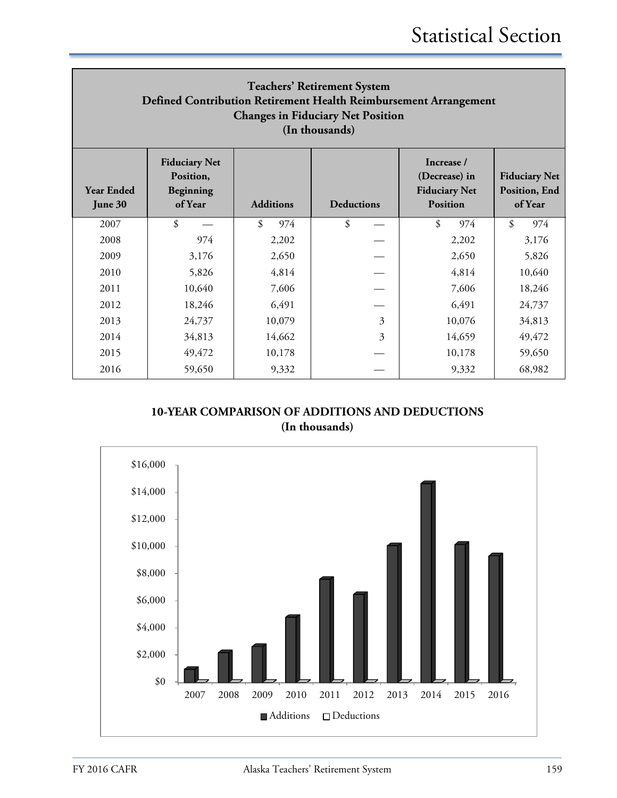| <b>Teachers' Retirement System</b><br>Defined Contribution Retirement Health Reimbursement Arrangement<br><b>Changes in Fiduciary Net Position</b><br>(In thousands) |                                                           |                  |                   |                                                                        |                                                          |  |  |
|----------------------------------------------------------------------------------------------------------------------------------------------------------------------|-----------------------------------------------------------|------------------|-------------------|------------------------------------------------------------------------|----------------------------------------------------------|--|--|
| <b>Year Ended</b><br>June 30                                                                                                                                         | <b>Fiduciary Net</b><br>Position,<br>Beginning<br>of Year | <b>Additions</b> | <b>Deductions</b> | Increase /<br>(Decrease) in<br><b>Fiduciary Net</b><br><b>Position</b> | <b>Fiduciary Net</b><br><b>Position</b> , End<br>of Year |  |  |
| 2007                                                                                                                                                                 | \$                                                        | \$<br>974        | \$                | \$<br>974                                                              | \$<br>974                                                |  |  |
| 2008                                                                                                                                                                 | 974                                                       | 2,202            |                   | 2,202                                                                  | 3,176                                                    |  |  |
| 2009                                                                                                                                                                 | 3,176                                                     | 2,650            |                   | 2,650                                                                  | 5,826                                                    |  |  |
| 2010                                                                                                                                                                 | 5,826                                                     | 4,814            |                   | 4,814                                                                  | 10,640                                                   |  |  |
| 2011                                                                                                                                                                 | 10,640                                                    | 7,606            |                   | 7,606                                                                  | 18,246                                                   |  |  |
| 2012                                                                                                                                                                 | 18,246                                                    | 6,491            |                   | 6,491                                                                  | 24,737                                                   |  |  |
| 2013                                                                                                                                                                 | 24,737                                                    | 10,079           | 3                 | 10,076                                                                 | 34,813                                                   |  |  |
| 2014                                                                                                                                                                 | 34,813                                                    | 14,662           | 3                 | 14,659                                                                 | 49,472                                                   |  |  |
| 2015                                                                                                                                                                 | 49,472                                                    | 10,178           |                   | 10,178                                                                 | 59,650                                                   |  |  |
| 2016                                                                                                                                                                 | 59,650                                                    | 9,332            |                   | 9,332                                                                  | 68,982                                                   |  |  |

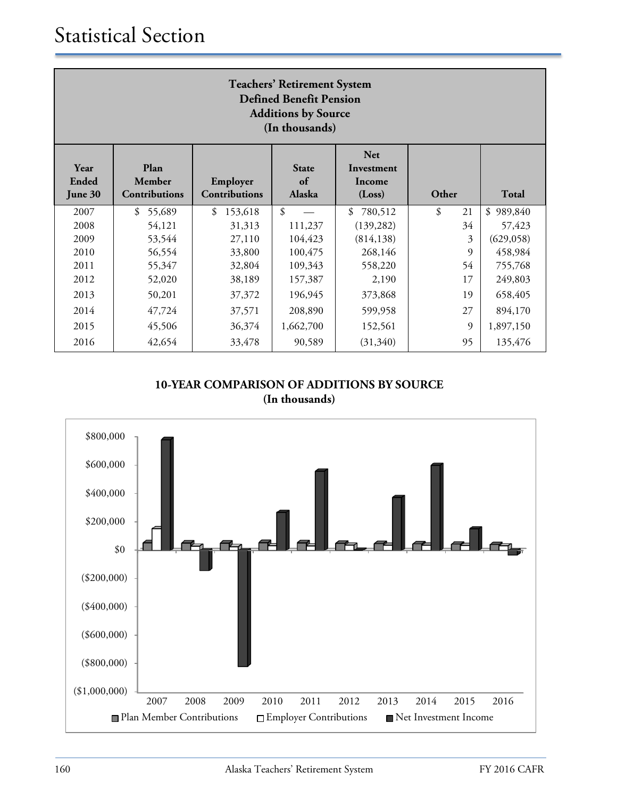| <b>Teachers' Retirement System</b><br><b>Defined Benefit Pension</b><br><b>Additions by Source</b><br>(In thousands) |                                        |                                  |                              |                                              |             |               |
|----------------------------------------------------------------------------------------------------------------------|----------------------------------------|----------------------------------|------------------------------|----------------------------------------------|-------------|---------------|
| Year<br>Ended<br>June 30                                                                                             | Plan<br>Member<br><b>Contributions</b> | Employer<br><b>Contributions</b> | <b>State</b><br>of<br>Alaska | <b>Net</b><br>Investment<br>Income<br>(Loss) | Other       | <b>Total</b>  |
| 2007                                                                                                                 | \$<br>55,689                           | \$<br>153,618                    | \$                           | 780,512<br>\$                                | \$<br>21    | 989,840<br>\$ |
| 2008                                                                                                                 | 54,121                                 | 31,313                           | 111,237                      | (139, 282)                                   | 34          | 57,423        |
| 2009                                                                                                                 | 53,544                                 | 27,110                           | 104,423                      | (814, 138)                                   | 3           | (629, 058)    |
| 2010                                                                                                                 | 56,554                                 | 33,800                           | 100,475                      | 268,146                                      | 9           | 458,984       |
| 2011                                                                                                                 | 55,347                                 | 32,804                           | 109,343                      | 558,220                                      | 54          | 755,768       |
| 2012                                                                                                                 | 52,020                                 | 38,189                           | 157,387                      | 2,190                                        | 17          | 249,803       |
| 2013                                                                                                                 | 50,201                                 | 37,372                           | 196,945                      | 373,868                                      | 19          | 658,405       |
| 2014                                                                                                                 | 47,724                                 | 37,571                           | 208,890                      | 599,958                                      | 27          | 894,170       |
| 2015                                                                                                                 | 45,506                                 | 36,374                           | 1,662,700                    | 152,561                                      | $\mathbf Q$ | 1,897,150     |
| 2016                                                                                                                 | 42,654                                 | 33,478                           | 90,589                       | (31,340)                                     | 95          | 135,476       |

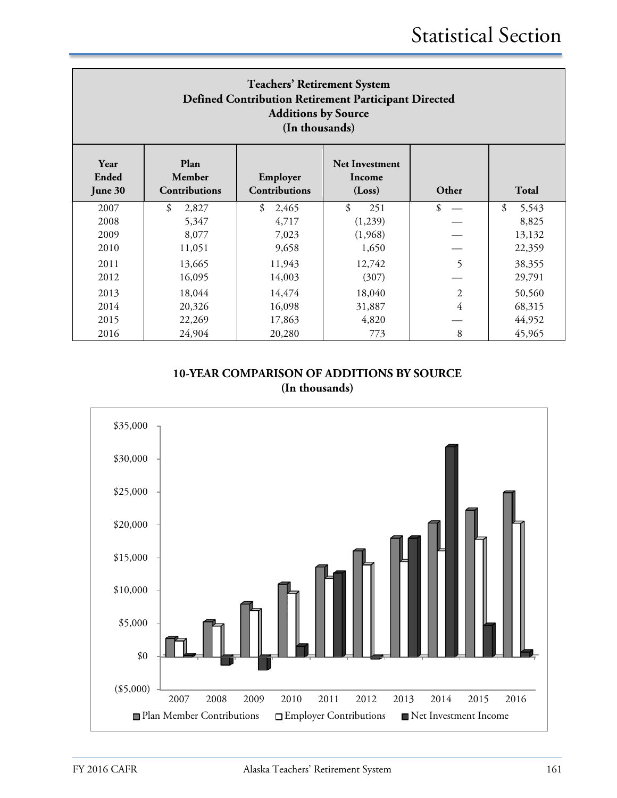| <b>Teachers' Retirement System</b><br>Defined Contribution Retirement Participant Directed<br><b>Additions by Source</b><br>(In thousands)                            |             |             |           |                |             |  |  |
|-----------------------------------------------------------------------------------------------------------------------------------------------------------------------|-------------|-------------|-----------|----------------|-------------|--|--|
| Plan<br>Year<br><b>Net Investment</b><br>Ended<br>Member<br>Employer<br>Income<br><b>Contributions</b><br>Other<br><b>Total</b><br>Contributions<br>June 30<br>(Loss) |             |             |           |                |             |  |  |
| 2007                                                                                                                                                                  | \$<br>2,827 | \$<br>2,465 | \$<br>251 | \$             | \$<br>5,543 |  |  |
| 2008                                                                                                                                                                  | 5,347       | 4,717       | (1,239)   |                | 8,825       |  |  |
| 2009                                                                                                                                                                  | 8,077       | 7,023       | (1,968)   |                | 13,132      |  |  |
| 2010                                                                                                                                                                  | 11,051      | 9,658       | 1,650     |                | 22,359      |  |  |
| 2011                                                                                                                                                                  | 13,665      | 11,943      | 12,742    | 5              | 38,355      |  |  |
| 2012                                                                                                                                                                  | 16,095      | 14,003      | (307)     |                | 29,791      |  |  |
| 2013                                                                                                                                                                  | 18,044      | 14,474      | 18,040    | $\overline{2}$ | 50,560      |  |  |
| 2014                                                                                                                                                                  | 20,326      | 16,098      | 31,887    | $\overline{4}$ | 68,315      |  |  |
| 2015                                                                                                                                                                  | 22,269      | 17,863      | 4,820     |                | 44,952      |  |  |
| 2016                                                                                                                                                                  | 24,904      | 20,280      | 773       | 8              | 45,965      |  |  |

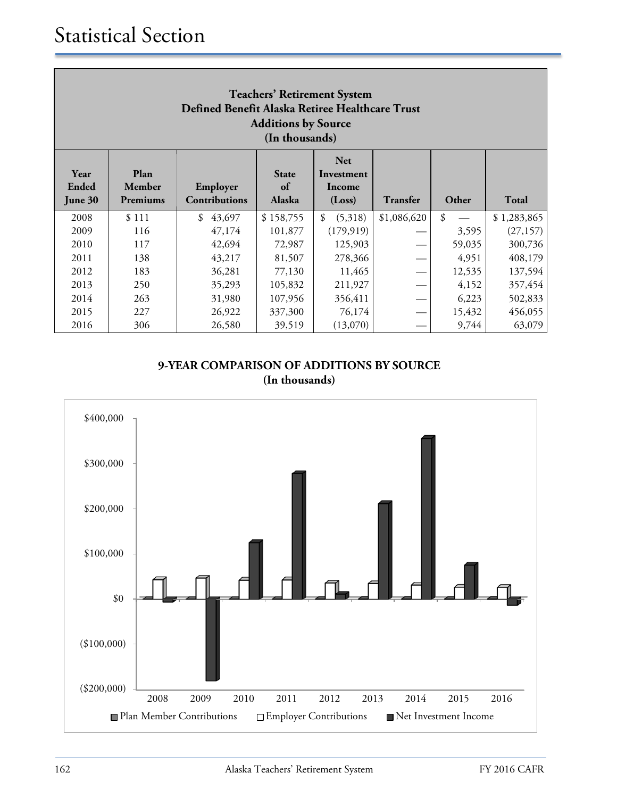| <b>Teachers' Retirement System</b><br>Defined Benefit Alaska Retiree Healthcare Trust<br><b>Additions by Source</b><br>(In thousands)                                                                           |       |              |           |               |             |        |             |
|-----------------------------------------------------------------------------------------------------------------------------------------------------------------------------------------------------------------|-------|--------------|-----------|---------------|-------------|--------|-------------|
| <b>Net</b><br>Plan<br>Year<br><b>State</b><br>Investment<br>Ended<br>of<br>Member<br>Employer<br>Income<br>Contributions<br><b>Total</b><br>Alaska<br>Other<br><b>Transfer</b><br>June 30<br>Premiums<br>(Loss) |       |              |           |               |             |        |             |
| 2008                                                                                                                                                                                                            | \$111 | \$<br>43,697 | \$158,755 | \$<br>(5,318) | \$1,086,620 | \$     | \$1,283,865 |
| 2009                                                                                                                                                                                                            | 116   | 47,174       | 101,877   | (179, 919)    |             | 3,595  | (27, 157)   |
| 2010                                                                                                                                                                                                            | 117   | 42,694       | 72,987    | 125,903       |             | 59,035 | 300,736     |
| 2011                                                                                                                                                                                                            | 138   | 43,217       | 81,507    | 278,366       |             | 4,951  | 408,179     |
| 2012                                                                                                                                                                                                            | 183   | 36,281       | 77,130    | 11,465        |             | 12,535 | 137,594     |
| 2013                                                                                                                                                                                                            | 250   | 35,293       | 105,832   | 211,927       |             | 4,152  | 357,454     |
| 2014                                                                                                                                                                                                            | 263   | 31,980       | 107,956   | 356,411       |             | 6,223  | 502,833     |
| 2015                                                                                                                                                                                                            | 227   | 26,922       | 337,300   | 76,174        |             | 15,432 | 456,055     |
| 2016                                                                                                                                                                                                            | 306   | 26,580       | 39,519    | (13,070)      |             | 9,744  | 63,079      |

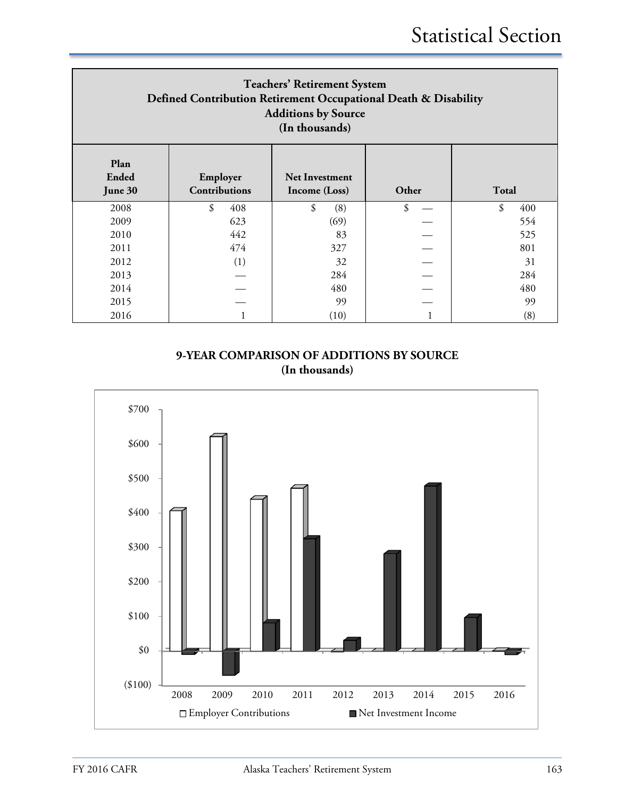| <b>Teachers' Retirement System</b><br>Defined Contribution Retirement Occupational Death & Disability<br><b>Additions by Source</b><br>(In thousands) |                                  |                                        |       |           |  |  |  |
|-------------------------------------------------------------------------------------------------------------------------------------------------------|----------------------------------|----------------------------------------|-------|-----------|--|--|--|
| Plan<br>Ended<br>June 30                                                                                                                              | Employer<br><b>Contributions</b> | <b>Net Investment</b><br>Income (Loss) | Other | Total     |  |  |  |
| 2008                                                                                                                                                  | \$<br>408                        | \$<br>(8)                              | \$    | \$<br>400 |  |  |  |
| 2009                                                                                                                                                  | 623                              | (69)                                   |       | 554       |  |  |  |
| 2010                                                                                                                                                  | 442                              | 83                                     |       | 525       |  |  |  |
| 2011                                                                                                                                                  | 474                              | 327                                    |       | 801       |  |  |  |
| 2012                                                                                                                                                  | (1)                              | 32                                     |       | 31        |  |  |  |
| 2013                                                                                                                                                  |                                  | 284                                    |       | 284       |  |  |  |
| 2014                                                                                                                                                  |                                  | 480                                    |       | 480       |  |  |  |
| 2015                                                                                                                                                  |                                  | 99                                     |       | 99        |  |  |  |
| 2016                                                                                                                                                  |                                  | (10)                                   |       | (8)       |  |  |  |

**9-YEAR COMPARISON OF ADDITIONS BY SOURCE (In thousands)**

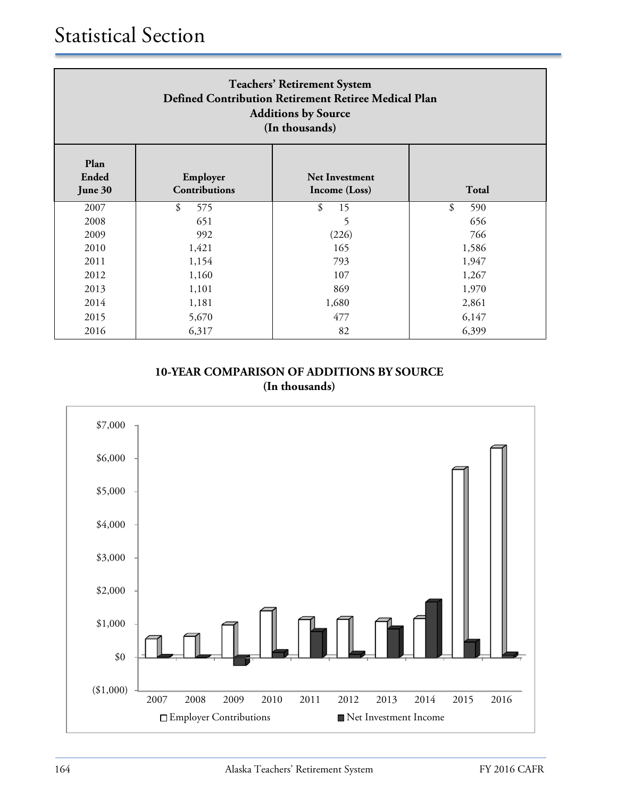| <b>Teachers' Retirement System</b><br>Defined Contribution Retirement Retiree Medical Plan<br><b>Additions by Source</b><br>(In thousands) |           |          |                                   |  |  |  |  |
|--------------------------------------------------------------------------------------------------------------------------------------------|-----------|----------|-----------------------------------|--|--|--|--|
| Plan<br>Ended<br>Employer<br><b>Net Investment</b><br>Contributions<br>Total<br>June 30<br>Income (Loss)                                   |           |          |                                   |  |  |  |  |
| 2007                                                                                                                                       | \$<br>575 | \$<br>15 | $\boldsymbol{\mathcal{S}}$<br>590 |  |  |  |  |
| 2008                                                                                                                                       | 651       | 5        | 656                               |  |  |  |  |
| 2009                                                                                                                                       | 992       | (226)    | 766                               |  |  |  |  |
| 2010                                                                                                                                       | 1,421     | 165      | 1,586                             |  |  |  |  |
| 2011                                                                                                                                       | 1,154     | 793      | 1,947                             |  |  |  |  |
| 2012                                                                                                                                       | 1,160     | 107      | 1,267                             |  |  |  |  |
| 2013                                                                                                                                       | 1,101     | 869      | 1,970                             |  |  |  |  |
| 2014                                                                                                                                       | 1,181     | 1,680    | 2,861                             |  |  |  |  |
| 2015                                                                                                                                       | 5,670     | 477      | 6,147                             |  |  |  |  |
| 2016                                                                                                                                       | 6,317     | 82       | 6,399                             |  |  |  |  |

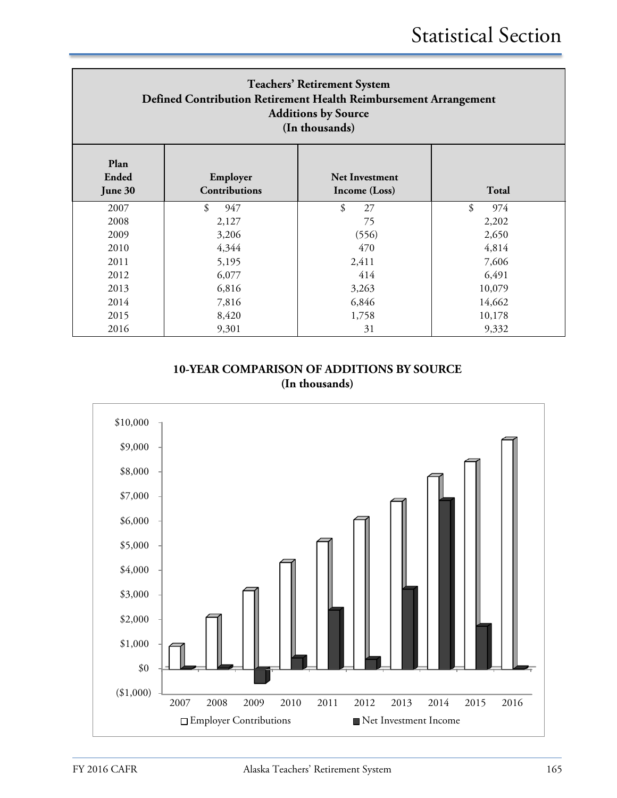| <b>Teachers' Retirement System</b><br>Defined Contribution Retirement Health Reimbursement Arrangement<br><b>Additions by Source</b><br>(In thousands) |                                  |                                        |           |  |  |  |  |
|--------------------------------------------------------------------------------------------------------------------------------------------------------|----------------------------------|----------------------------------------|-----------|--|--|--|--|
| Plan<br><b>Ended</b><br>June 30                                                                                                                        | Employer<br><b>Contributions</b> | <b>Net Investment</b><br>Income (Loss) | Total     |  |  |  |  |
| 2007                                                                                                                                                   | \$<br>947                        | \$<br>27                               | \$<br>974 |  |  |  |  |
| 2008                                                                                                                                                   | 2,127                            | 75                                     | 2,202     |  |  |  |  |
| 2009                                                                                                                                                   | 3,206                            | (556)                                  | 2,650     |  |  |  |  |
| 2010                                                                                                                                                   | 4,344                            | 470                                    | 4,814     |  |  |  |  |
| 2011                                                                                                                                                   | 5,195                            | 2,411                                  | 7,606     |  |  |  |  |
| 2012                                                                                                                                                   | 6,077                            | 414                                    | 6,491     |  |  |  |  |
| 2013                                                                                                                                                   | 6,816                            | 3,263                                  | 10,079    |  |  |  |  |
| 2014                                                                                                                                                   | 7,816                            | 6,846                                  | 14,662    |  |  |  |  |
| 2015                                                                                                                                                   | 8,420                            | 1,758                                  | 10,178    |  |  |  |  |
| 2016                                                                                                                                                   | 9,301                            | 31                                     | 9,332     |  |  |  |  |

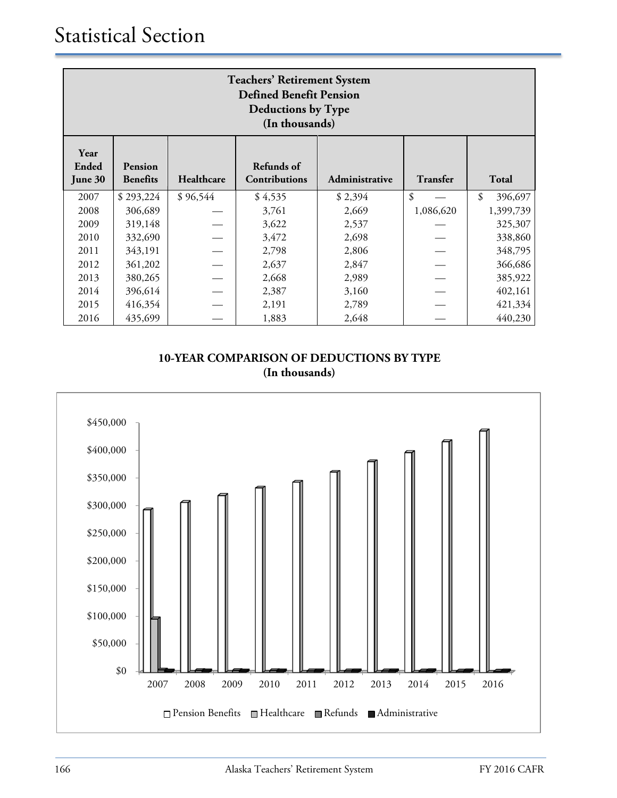| <b>Teachers' Retirement System</b><br><b>Defined Benefit Pension</b><br><b>Deductions by Type</b><br>(In thousands)                               |           |          |         |         |           |               |  |
|---------------------------------------------------------------------------------------------------------------------------------------------------|-----------|----------|---------|---------|-----------|---------------|--|
| Year<br>Refunds of<br><b>Ended</b><br>Pension<br>Healthcare<br>Contributions<br><b>Benefits</b><br>Administrative<br>Transfer<br>Total<br>June 30 |           |          |         |         |           |               |  |
| 2007                                                                                                                                              | \$293,224 | \$96,544 | \$4,535 | \$2,394 | \$        | \$<br>396,697 |  |
| 2008                                                                                                                                              | 306,689   |          | 3,761   | 2,669   | 1,086,620 | 1,399,739     |  |
| 2009                                                                                                                                              | 319,148   |          | 3,622   | 2,537   |           | 325,307       |  |
| 2010                                                                                                                                              | 332,690   |          | 3,472   | 2,698   |           | 338,860       |  |
| 2011                                                                                                                                              | 343,191   |          | 2,798   | 2,806   |           | 348,795       |  |
| 2012                                                                                                                                              | 361,202   |          | 2,637   | 2,847   |           | 366,686       |  |
| 2013                                                                                                                                              | 380,265   |          | 2,668   | 2,989   |           | 385,922       |  |
| 2014                                                                                                                                              | 396,614   |          | 2,387   | 3,160   |           | 402,161       |  |
| 2015                                                                                                                                              | 416,354   |          | 2,191   | 2,789   |           | 421,334       |  |
| 2016                                                                                                                                              | 435,699   |          | 1,883   | 2,648   |           | 440,230       |  |

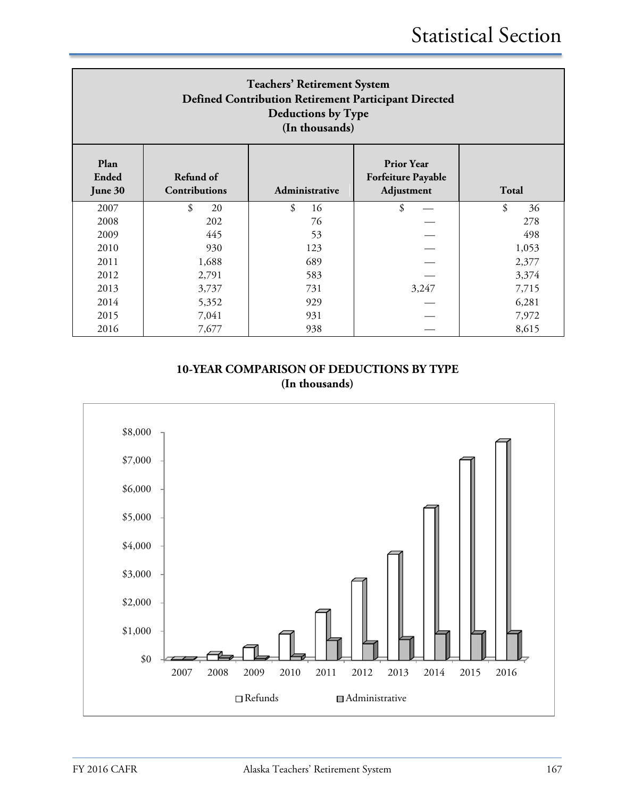| <b>Teachers' Retirement System</b><br>Defined Contribution Retirement Participant Directed<br><b>Deductions by Type</b><br>(In thousands) |                                   |                |                                                              |          |  |  |
|-------------------------------------------------------------------------------------------------------------------------------------------|-----------------------------------|----------------|--------------------------------------------------------------|----------|--|--|
| Plan<br>Ended<br>June 30                                                                                                                  | Refund of<br><b>Contributions</b> | Administrative | <b>Prior Year</b><br><b>Forfeiture Payable</b><br>Adjustment | Total    |  |  |
| 2007                                                                                                                                      | \$<br>20                          | \$<br>16       | \$                                                           | \$<br>36 |  |  |
| 2008                                                                                                                                      | 202                               | 76             |                                                              | 278      |  |  |
| 2009                                                                                                                                      | 445                               | 53             |                                                              | 498      |  |  |
| 2010                                                                                                                                      | 930                               | 123            |                                                              | 1,053    |  |  |
| 2011                                                                                                                                      | 1,688                             | 689            |                                                              | 2,377    |  |  |
| 2012                                                                                                                                      | 2,791                             | 583            |                                                              | 3,374    |  |  |
| 2013                                                                                                                                      | 3,737                             | 731            | 3,247                                                        | 7,715    |  |  |
| 2014                                                                                                                                      | 5,352                             | 929            |                                                              | 6,281    |  |  |
| 2015                                                                                                                                      | 7,041                             | 931            |                                                              | 7,972    |  |  |
| 2016                                                                                                                                      | 7,677                             | 938            |                                                              | 8,615    |  |  |

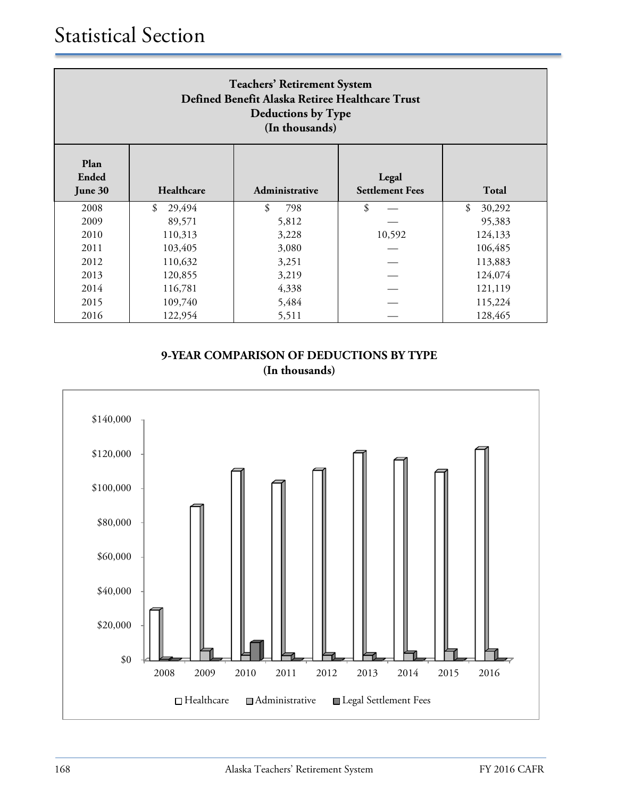| <b>Teachers' Retirement System</b><br>Defined Benefit Alaska Retiree Healthcare Trust<br>Deductions by Type<br>(In thousands) |                             |                |                                 |              |  |  |
|-------------------------------------------------------------------------------------------------------------------------------|-----------------------------|----------------|---------------------------------|--------------|--|--|
| Plan<br>Ended<br>June 30                                                                                                      | Healthcare                  | Administrative | Legal<br><b>Settlement Fees</b> | <b>Total</b> |  |  |
| 2008                                                                                                                          | \$<br>29,494                | \$<br>798      | \$                              | \$<br>30,292 |  |  |
| 2009                                                                                                                          | 89,571                      | 5,812          |                                 | 95,383       |  |  |
| 2010                                                                                                                          | 110,313                     | 3,228          | 10,592                          | 124,133      |  |  |
| 2011                                                                                                                          | 103,405                     | 3,080          |                                 | 106,485      |  |  |
| 2012                                                                                                                          | 110,632                     | 3,251          |                                 | 113,883      |  |  |
| 2013                                                                                                                          | 120,855                     | 3,219          |                                 | 124,074      |  |  |
| 2014                                                                                                                          | 4,338<br>116,781<br>121,119 |                |                                 |              |  |  |
| 2015                                                                                                                          | 109,740                     | 5,484          |                                 | 115,224      |  |  |
| 2016                                                                                                                          | 122,954                     | 5,511          |                                 | 128,465      |  |  |

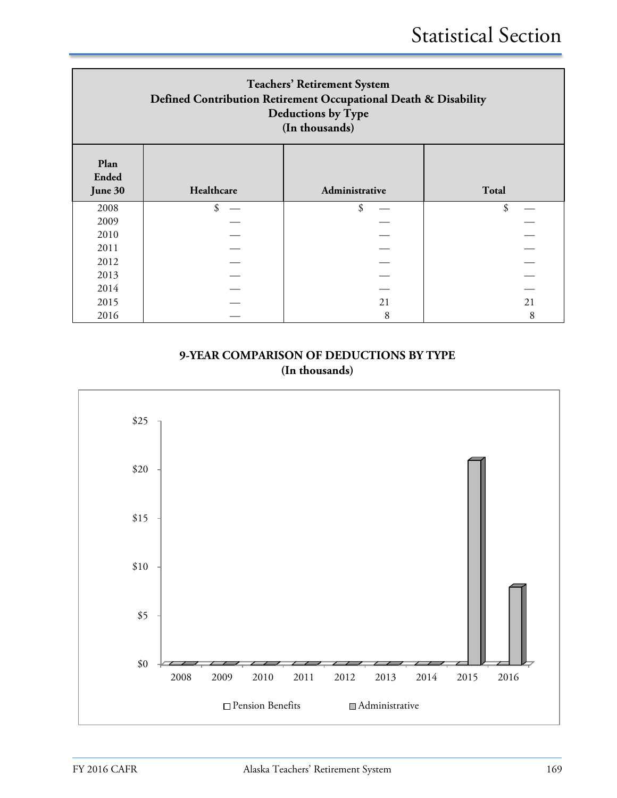| <b>Teachers' Retirement System</b><br>Defined Contribution Retirement Occupational Death & Disability<br><b>Deductions by Type</b><br>(In thousands) |            |                |       |  |  |  |
|------------------------------------------------------------------------------------------------------------------------------------------------------|------------|----------------|-------|--|--|--|
| Plan<br><b>Ended</b><br>June 30                                                                                                                      | Healthcare | Administrative | Total |  |  |  |
| 2008                                                                                                                                                 | \$         | \$             | \$    |  |  |  |
| 2009                                                                                                                                                 |            |                |       |  |  |  |
| 2010                                                                                                                                                 |            |                |       |  |  |  |
| 2011                                                                                                                                                 |            |                |       |  |  |  |
| 2012                                                                                                                                                 |            |                |       |  |  |  |
| 2013                                                                                                                                                 |            |                |       |  |  |  |
| 2014                                                                                                                                                 |            |                |       |  |  |  |
| 2015                                                                                                                                                 |            | 21             | 21    |  |  |  |
| 2016                                                                                                                                                 |            | 8              | 8     |  |  |  |

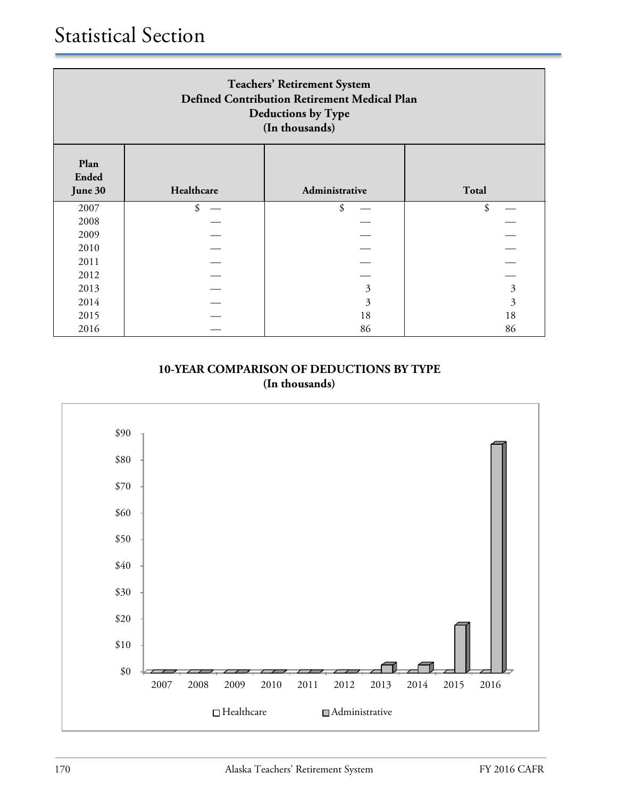| <b>Teachers' Retirement System</b><br><b>Defined Contribution Retirement Medical Plan</b><br>Deductions by Type<br>(In thousands) |        |    |    |  |  |  |
|-----------------------------------------------------------------------------------------------------------------------------------|--------|----|----|--|--|--|
| Plan<br><b>Ended</b><br>Healthcare<br>Administrative<br><b>Total</b><br>June 30                                                   |        |    |    |  |  |  |
| 2007                                                                                                                              | \$     | \$ | \$ |  |  |  |
| 2008                                                                                                                              |        |    |    |  |  |  |
| 2009                                                                                                                              |        |    |    |  |  |  |
| 2010                                                                                                                              |        |    |    |  |  |  |
| 2011                                                                                                                              |        |    |    |  |  |  |
| 2012                                                                                                                              |        |    |    |  |  |  |
| 2013                                                                                                                              |        | 3  | 3  |  |  |  |
| 2014                                                                                                                              | 3<br>3 |    |    |  |  |  |
| 2015                                                                                                                              |        | 18 | 18 |  |  |  |
| 2016                                                                                                                              |        | 86 | 86 |  |  |  |

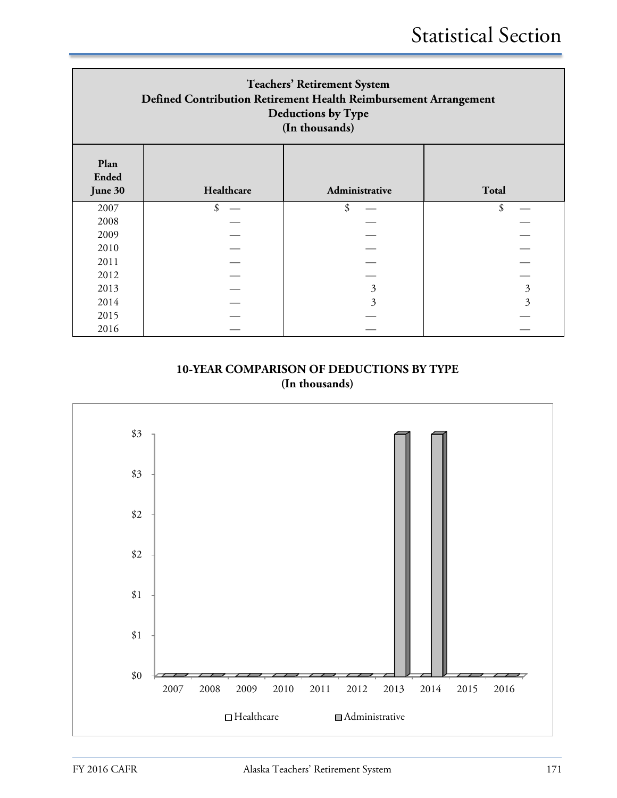| <b>Teachers' Retirement System</b><br>Defined Contribution Retirement Health Reimbursement Arrangement<br>Deductions by Type<br>(In thousands) |            |                |       |  |  |  |
|------------------------------------------------------------------------------------------------------------------------------------------------|------------|----------------|-------|--|--|--|
| Plan<br><b>Ended</b><br>June 30                                                                                                                | Healthcare | Administrative | Total |  |  |  |
| 2007                                                                                                                                           | \$         | \$             | \$    |  |  |  |
| 2008                                                                                                                                           |            |                |       |  |  |  |
| 2009                                                                                                                                           |            |                |       |  |  |  |
| 2010                                                                                                                                           |            |                |       |  |  |  |
| 2011                                                                                                                                           |            |                |       |  |  |  |
| 2012                                                                                                                                           |            |                |       |  |  |  |
| 2013                                                                                                                                           |            | 3              | 3     |  |  |  |
| 2014                                                                                                                                           |            | 3              | 3     |  |  |  |
| 2015                                                                                                                                           |            |                |       |  |  |  |
| 2016                                                                                                                                           |            |                |       |  |  |  |

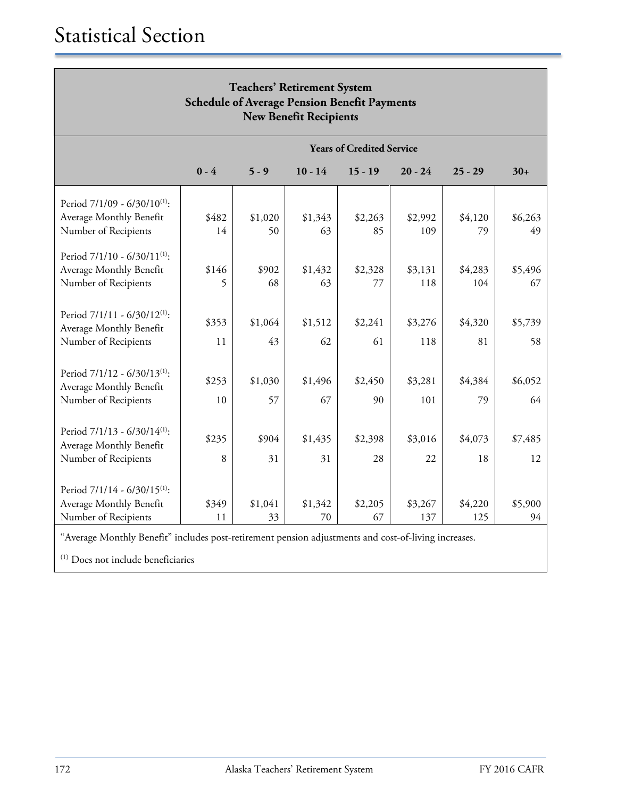| <b>Teachers' Retirement System</b><br><b>Schedule of Average Pension Benefit Payments</b><br><b>New Benefit Recipients</b>                      |             |               |               |                                  |                |                |               |
|-------------------------------------------------------------------------------------------------------------------------------------------------|-------------|---------------|---------------|----------------------------------|----------------|----------------|---------------|
|                                                                                                                                                 |             |               |               | <b>Years of Credited Service</b> |                |                |               |
|                                                                                                                                                 | $0 - 4$     | $5 - 9$       | $10 - 14$     | $15 - 19$                        | $20 - 24$      | $25 - 29$      | $30+$         |
| Period 7/1/09 - 6/30/10 <sup>(1)</sup> :<br>Average Monthly Benefit<br>Number of Recipients                                                     | \$482<br>14 | \$1,020<br>50 | \$1,343<br>63 | \$2,263<br>85                    | \$2,992<br>109 | \$4,120<br>79  | \$6,263<br>49 |
| Period 7/1/10 - 6/30/11(1):<br>Average Monthly Benefit<br>Number of Recipients                                                                  | \$146<br>5  | \$902<br>68   | \$1,432<br>63 | \$2,328<br>77                    | \$3,131<br>118 | \$4,283<br>104 | \$5,496<br>67 |
| Period 7/1/11 - 6/30/12 <sup>(1)</sup> :<br>Average Monthly Benefit<br>Number of Recipients                                                     | \$353<br>11 | \$1,064<br>43 | \$1,512<br>62 | \$2,241<br>61                    | \$3,276<br>118 | \$4,320<br>81  | \$5,739<br>58 |
| Period 7/1/12 - 6/30/13 <sup>(1)</sup> :<br>Average Monthly Benefit<br>Number of Recipients                                                     | \$253<br>10 | \$1,030<br>57 | \$1,496<br>67 | \$2,450<br>90                    | \$3,281<br>101 | \$4,384<br>79  | \$6,052<br>64 |
| Period 7/1/13 - 6/30/14 <sup>(1)</sup> :<br>Average Monthly Benefit<br>Number of Recipients                                                     | \$235<br>8  | \$904<br>31   | \$1,435<br>31 | \$2,398<br>28                    | \$3,016<br>22  | \$4,073<br>18  | \$7,485<br>12 |
| Period $7/1/14 - 6/30/15$ <sup>(1)</sup> :<br>Average Monthly Benefit<br>Number of Recipients<br>$\mathbf{v}$ and $\mathbf{v}$ and $\mathbf{v}$ | \$349<br>11 | \$1,041<br>33 | \$1,342<br>70 | \$2,205<br>67                    | \$3,267<br>137 | \$4,220<br>125 | \$5,900<br>94 |

"Average Monthly Benefit" includes post-retirement pension adjustments and cost-of-living increases.

(1) Does not include beneficiaries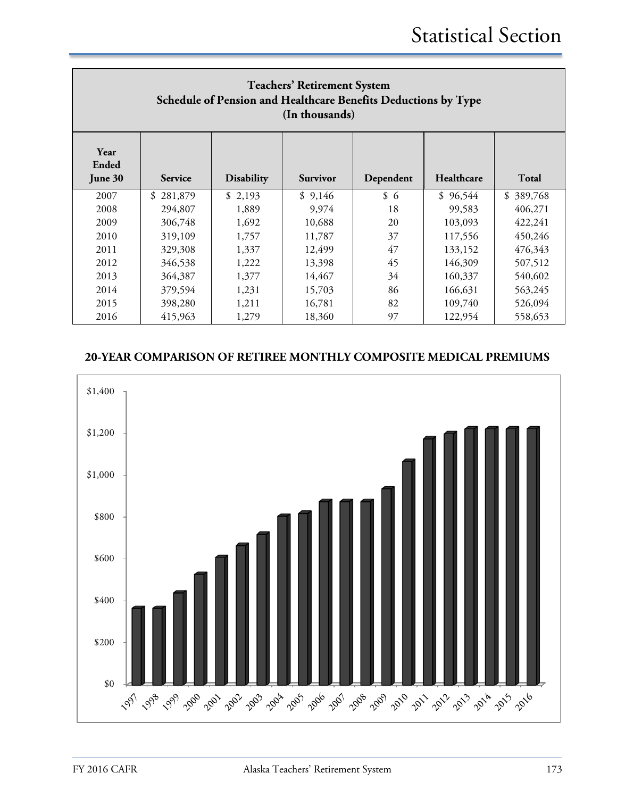| <b>Teachers' Retirement System</b><br>Schedule of Pension and Healthcare Benefits Deductions by Type<br>(In thousands) |                |                   |                 |           |            |           |  |  |
|------------------------------------------------------------------------------------------------------------------------|----------------|-------------------|-----------------|-----------|------------|-----------|--|--|
| Year<br>Ended<br>June 30                                                                                               | <b>Service</b> | <b>Disability</b> | <b>Survivor</b> | Dependent | Healthcare | Total     |  |  |
| 2007                                                                                                                   | 281,879<br>\$  | \$2,193           | \$9,146         | \$6       | \$96,544   | \$389,768 |  |  |
| 2008                                                                                                                   | 294,807        | 1,889             | 9,974           | 18        | 99,583     | 406,271   |  |  |
| 2009                                                                                                                   | 306,748        | 1,692             | 10,688          | 20        | 103,093    | 422,241   |  |  |
| 2010                                                                                                                   | 319,109        | 1,757             | 11,787          | 37        | 117,556    | 450,246   |  |  |
| 2011                                                                                                                   | 329,308        | 1,337             | 12,499          | 47        | 133,152    | 476,343   |  |  |
| 2012                                                                                                                   | 346,538        | 1,222             | 13,398          | 45        | 146,309    | 507,512   |  |  |
| 2013                                                                                                                   | 364,387        | 1,377             | 14,467          | 34        | 160,337    | 540,602   |  |  |
| 2014                                                                                                                   | 379,594        | 1,231             | 15,703          | 86        | 166,631    | 563,245   |  |  |
| 2015                                                                                                                   | 398,280        | 1,211             | 16,781          | 82        | 109,740    | 526,094   |  |  |
| 2016                                                                                                                   | 415,963        | 1,279             | 18,360          | 97        | 122,954    | 558,653   |  |  |

## **20-YEAR COMPARISON OF RETIREE MONTHLY COMPOSITE MEDICAL PREMIUMS**

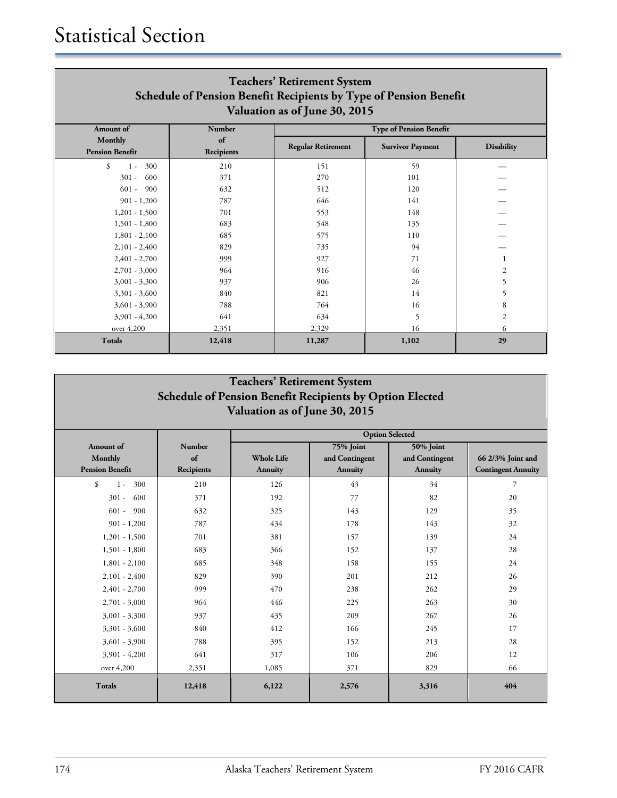| <b>Teachers' Retirement System</b><br>Schedule of Pension Benefit Recipients by Type of Pension Benefit<br>Valuation as of June 30, 2015 |                  |                           |                                |                   |  |  |  |
|------------------------------------------------------------------------------------------------------------------------------------------|------------------|---------------------------|--------------------------------|-------------------|--|--|--|
| Amount of                                                                                                                                | Number           |                           | <b>Type of Pension Benefit</b> |                   |  |  |  |
| Monthly<br><b>Pension Benefit</b>                                                                                                        | of<br>Recipients | <b>Regular Retirement</b> | <b>Survivor Payment</b>        | <b>Disability</b> |  |  |  |
| \$<br>300<br>$1 -$                                                                                                                       | 210              | 151                       | 59                             |                   |  |  |  |
| 600<br>$301 -$                                                                                                                           | 371              | 270                       | 101                            |                   |  |  |  |
| $601 -$<br>900                                                                                                                           | 632              | 512                       | 120                            |                   |  |  |  |
| $901 - 1,200$                                                                                                                            | 787              | 646                       | 141                            |                   |  |  |  |
| $1,201 - 1,500$                                                                                                                          | 701              | 553                       | 148                            |                   |  |  |  |
| $1,501 - 1,800$                                                                                                                          | 683              | 548                       | 135                            |                   |  |  |  |
| $1,801 - 2,100$                                                                                                                          | 685              | 575                       | 110                            |                   |  |  |  |
| $2,101 - 2,400$                                                                                                                          | 829              | 735                       | 94                             |                   |  |  |  |
| $2,401 - 2,700$                                                                                                                          | 999              | 927                       | 71                             | 1                 |  |  |  |
| $2,701 - 3,000$                                                                                                                          | 964              | 916                       | 46                             | $\overline{2}$    |  |  |  |
| $3,001 - 3,300$                                                                                                                          | 937              | 906                       | 26                             | 5                 |  |  |  |
| $3,301 - 3,600$                                                                                                                          | 840              | 821                       | 14                             | 5                 |  |  |  |
| $3,601 - 3,900$                                                                                                                          | 788              | 764                       | 16                             | 8                 |  |  |  |
| $3,901 - 4,200$                                                                                                                          | 641              | 634                       | 5                              | $\overline{2}$    |  |  |  |
| over 4,200                                                                                                                               | 2,351            | 2,329                     | 16                             | 6                 |  |  |  |
| <b>Totals</b>                                                                                                                            | 12,418           | 11,287                    | 1,102                          | 29                |  |  |  |

| <b>Teachers' Retirement System</b> |                                                          |                   |                |                                     |                           |  |  |
|------------------------------------|----------------------------------------------------------|-------------------|----------------|-------------------------------------|---------------------------|--|--|
|                                    | Schedule of Pension Benefit Recipients by Option Elected |                   |                |                                     |                           |  |  |
|                                    | Valuation as of June 30, 2015                            |                   |                |                                     |                           |  |  |
|                                    |                                                          |                   |                |                                     |                           |  |  |
| Amount of                          | <b>Number</b>                                            |                   | 75% Joint      | <b>Option Selected</b><br>50% Joint |                           |  |  |
| Monthly                            | of                                                       | <b>Whole Life</b> | and Contingent | and Contingent                      | 66 2/3% Joint and         |  |  |
| <b>Pension Benefit</b>             | Recipients                                               | <b>Annuity</b>    | <b>Annuity</b> | <b>Annuity</b>                      | <b>Contingent Annuity</b> |  |  |
| \$<br>300<br>$1 -$                 | 210                                                      | 126               | 43             | 34                                  | 7                         |  |  |
| 600<br>$301 -$                     | 371                                                      | 192               | 77             | 82                                  | 20                        |  |  |
| $601 - 900$                        | 632                                                      | 325               | 143            | 129                                 | 35                        |  |  |
| $901 - 1,200$                      | 787                                                      | 434               | 178            | 143                                 | 32                        |  |  |
| $1,201 - 1,500$                    | 701                                                      | 381               | 157            | 139                                 | 24                        |  |  |
| $1,501 - 1,800$                    | 683                                                      | 366               | 152            | 137                                 | 28                        |  |  |
| $1,801 - 2,100$                    | 685                                                      | 348               | 158            | 155                                 | 24                        |  |  |
| $2,101 - 2,400$                    | 829                                                      | 390               | 201            | 212                                 | 26                        |  |  |
| $2,401 - 2,700$                    | 999                                                      | 470               | 238            | 262                                 | 29                        |  |  |
| $2,701 - 3,000$                    | 964                                                      | 446               | 225            | 263                                 | 30                        |  |  |
| $3,001 - 3,300$                    | 937                                                      | 435               | 209            | 267                                 | 26                        |  |  |
| $3,301 - 3,600$                    | 840                                                      | 412               | 166            | 245                                 | 17                        |  |  |
| $3,601 - 3,900$                    | 788                                                      | 395               | 152            | 213                                 | 28                        |  |  |
| $3,901 - 4,200$                    | 641                                                      | 317               | 106            | 206                                 | 12                        |  |  |
| over 4,200                         | 2,351                                                    | 1,085             | 371            | 829                                 | 66                        |  |  |
| <b>Totals</b>                      | 12,418                                                   | 6,122             | 2,576          | 3,316                               | 404                       |  |  |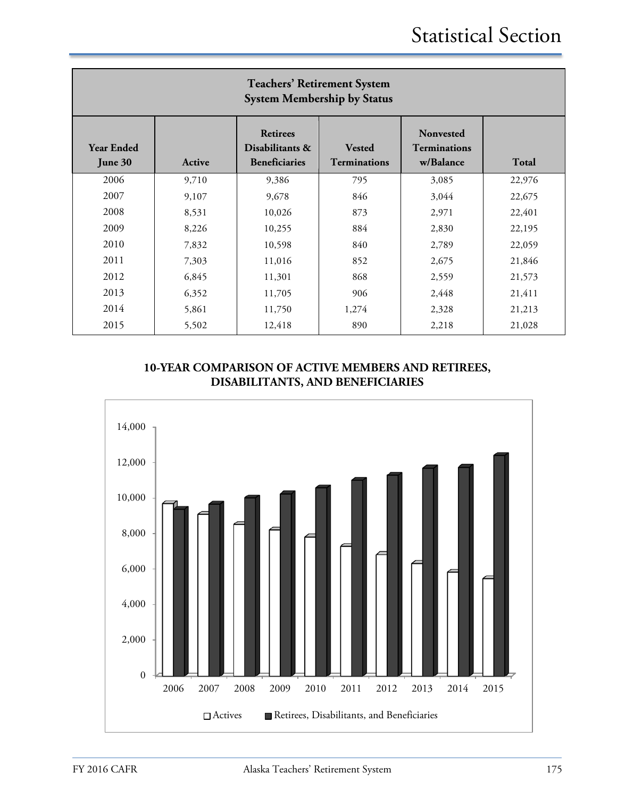| <b>Teachers' Retirement System</b><br><b>System Membership by Status</b> |        |                                                            |                                      |                                                      |              |  |  |
|--------------------------------------------------------------------------|--------|------------------------------------------------------------|--------------------------------------|------------------------------------------------------|--------------|--|--|
| <b>Year Ended</b><br>June 30                                             | Active | <b>Retirees</b><br>Disabilitants &<br><b>Beneficiaries</b> | <b>Vested</b><br><b>Terminations</b> | <b>Nonvested</b><br><b>Terminations</b><br>w/Balance | <b>Total</b> |  |  |
| 2006                                                                     | 9,710  | 9,386                                                      | 795                                  | 3,085                                                | 22,976       |  |  |
| 2007                                                                     | 9,107  | 9,678                                                      | 846                                  | 3,044                                                | 22,675       |  |  |
| 2008                                                                     | 8,531  | 10,026                                                     | 873                                  | 2,971                                                | 22,401       |  |  |
| 2009                                                                     | 8,226  | 10,255                                                     | 884                                  | 2,830                                                | 22,195       |  |  |
| 2010                                                                     | 7,832  | 10,598                                                     | 840                                  | 2,789                                                | 22,059       |  |  |
| 2011                                                                     | 7,303  | 11,016                                                     | 852                                  | 2,675                                                | 21,846       |  |  |
| 2012                                                                     | 6,845  | 11,301                                                     | 868                                  | 2,559                                                | 21,573       |  |  |
| 2013                                                                     | 6,352  | 11,705                                                     | 906                                  | 2,448                                                | 21,411       |  |  |
| 2014                                                                     | 5,861  | 11,750                                                     | 1,274                                | 2,328                                                | 21,213       |  |  |
| 2015                                                                     | 5,502  | 12,418                                                     | 890                                  | 2,218                                                | 21,028       |  |  |

## **10-YEAR COMPARISON OF ACTIVE MEMBERS AND RETIREES, DISABILITANTS, AND BENEFICIARIES**

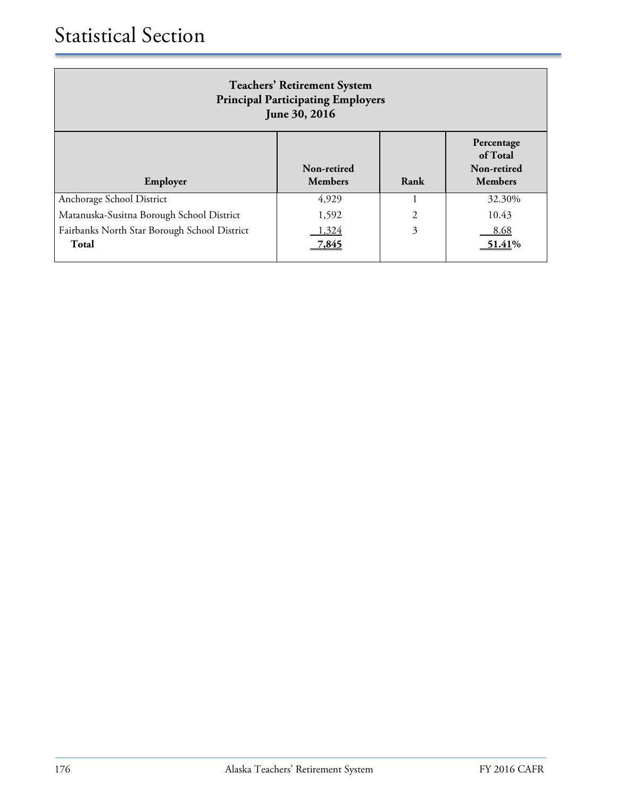| <b>Teachers' Retirement System</b><br><b>Principal Participating Employers</b><br>June 30, 2016 |                               |                |                                                         |
|-------------------------------------------------------------------------------------------------|-------------------------------|----------------|---------------------------------------------------------|
| Employer                                                                                        | Non-retired<br><b>Members</b> | Rank           | Percentage<br>of Total<br>Non-retired<br><b>Members</b> |
| Anchorage School District                                                                       | 4,929                         |                | 32.30%                                                  |
| Matanuska-Susitna Borough School District                                                       | 1,592                         | $\overline{2}$ | 10.43                                                   |
| Fairbanks North Star Borough School District<br>Total                                           | 1.324<br>7,845                | 3              | - 8.68<br>51.41\%                                       |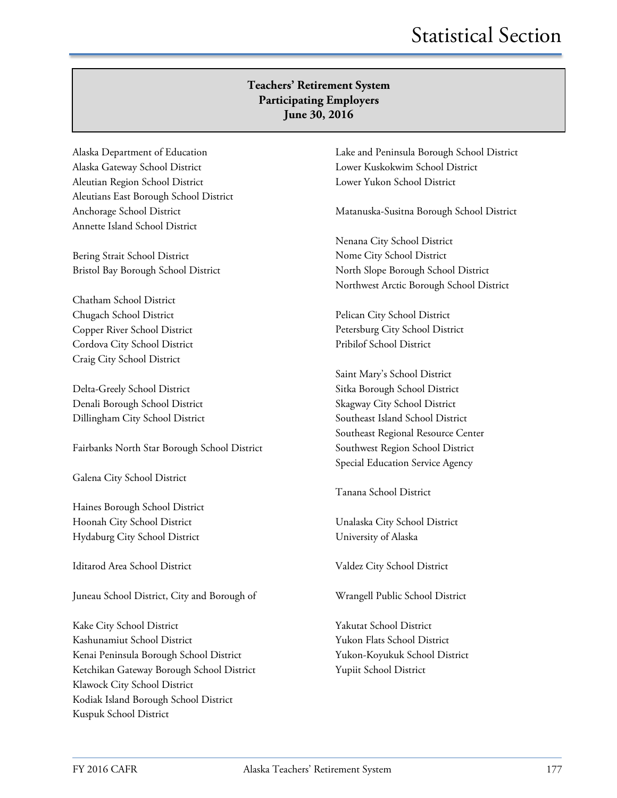#### **Teachers' Retirement System Participating Employers June 30, 2016**

Alaska Department of Education Alaska Gateway School District Aleutian Region School District Aleutians East Borough School District Anchorage School District Annette Island School District

Bering Strait School District Bristol Bay Borough School District

Chatham School District Chugach School District Copper River School District Cordova City School District Craig City School District

Delta-Greely School District Denali Borough School District Dillingham City School District

Fairbanks North Star Borough School District

Galena City School District

Haines Borough School District Hoonah City School District Hydaburg City School District

Iditarod Area School District

Juneau School District, City and Borough of

Kake City School District Kashunamiut School District Kenai Peninsula Borough School District Ketchikan Gateway Borough School District Klawock City School District Kodiak Island Borough School District Kuspuk School District

Lake and Peninsula Borough School District Lower Kuskokwim School District Lower Yukon School District

Matanuska-Susitna Borough School District

Nenana City School District Nome City School District North Slope Borough School District Northwest Arctic Borough School District

Pelican City School District Petersburg City School District Pribilof School District

Saint Mary's School District Sitka Borough School District Skagway City School District Southeast Island School District Southeast Regional Resource Center Southwest Region School District Special Education Service Agency

Tanana School District

Unalaska City School District University of Alaska

Valdez City School District

Wrangell Public School District

Yakutat School District Yukon Flats School District Yukon-Koyukuk School District Yupiit School District